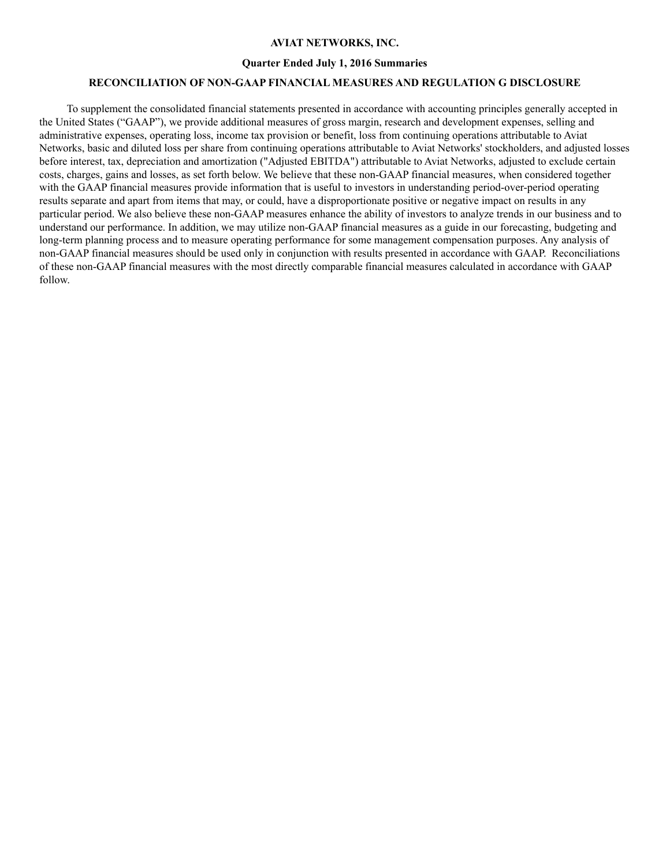### **AVIAT NETWORKS, INC.**

#### **Quarter Ended July 1, 2016 Summaries**

### **RECONCILIATION OF NON-GAAP FINANCIAL MEASURES AND REGULATION G DISCLOSURE**

To supplement the consolidated financial statements presented in accordance with accounting principles generally accepted in the United States ("GAAP"), we provide additional measures of gross margin, research and development expenses, selling and administrative expenses, operating loss, income tax provision or benefit, loss from continuing operations attributable to Aviat Networks, basic and diluted loss per share from continuing operations attributable to Aviat Networks' stockholders, and adjusted losses before interest, tax, depreciation and amortization ("Adjusted EBITDA") attributable to Aviat Networks, adjusted to exclude certain costs, charges, gains and losses, as set forth below. We believe that these non-GAAP financial measures, when considered together with the GAAP financial measures provide information that is useful to investors in understanding period-over-period operating results separate and apart from items that may, or could, have a disproportionate positive or negative impact on results in any particular period. We also believe these non-GAAP measures enhance the ability of investors to analyze trends in our business and to understand our performance. In addition, we may utilize non-GAAP financial measures as a guide in our forecasting, budgeting and long-term planning process and to measure operating performance for some management compensation purposes. Any analysis of non-GAAP financial measures should be used only in conjunction with results presented in accordance with GAAP. Reconciliations of these non-GAAP financial measures with the most directly comparable financial measures calculated in accordance with GAAP follow.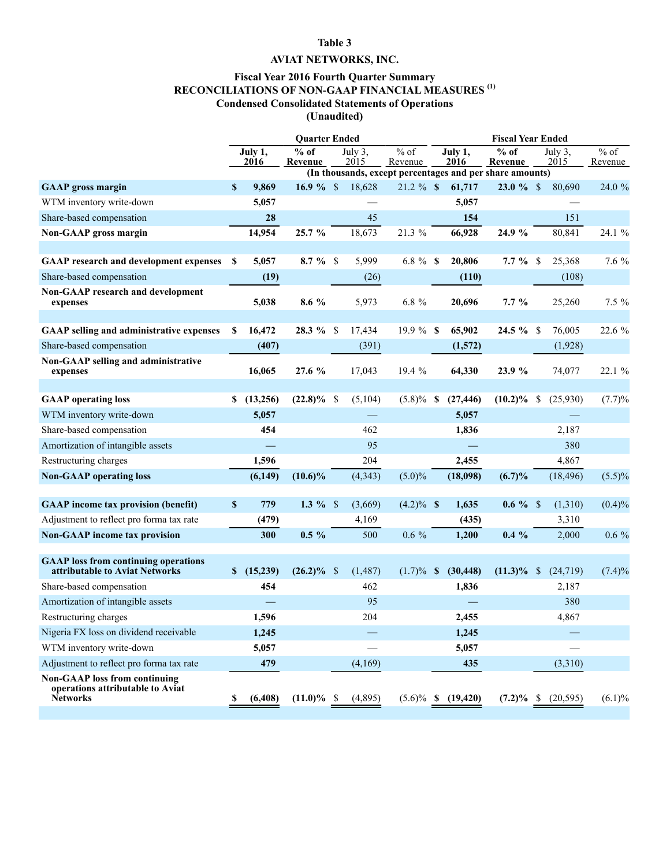## **Table 3**

# **AVIAT NETWORKS, INC.**

### **Fiscal Year 2016 Fourth Quarter Summary RECONCILIATIONS OF NON-GAAP FINANCIAL MEASURES (1) Condensed Consolidated Statements of Operations (Unaudited)**

|                                                                                      | <b>Quarter Ended</b> |                 |                                                          |  |                 |                   | <b>Fiscal Year Ended</b> |                         |                   |               |                 |                   |  |
|--------------------------------------------------------------------------------------|----------------------|-----------------|----------------------------------------------------------|--|-----------------|-------------------|--------------------------|-------------------------|-------------------|---------------|-----------------|-------------------|--|
|                                                                                      |                      | July 1,<br>2016 | $%$ of<br>Revenue                                        |  | July 3,<br>2015 | $%$ of<br>Revenue |                          | July 1,<br>2016         | $%$ of<br>Revenue |               | July 3,<br>2015 | $%$ of<br>Revenue |  |
|                                                                                      |                      |                 | (In thousands, except percentages and per share amounts) |  |                 |                   |                          |                         |                   |               |                 |                   |  |
| <b>GAAP</b> gross margin                                                             | $\mathbf{s}$         | 9,869           |                                                          |  | 18,628          | $21.2 \%$ \$      |                          | 61,717                  | $23.0 \%$ \$      |               | 80,690          | 24.0 %            |  |
| WTM inventory write-down                                                             |                      | 5,057           |                                                          |  |                 |                   |                          | 5,057                   |                   |               |                 |                   |  |
| Share-based compensation                                                             |                      | 28              |                                                          |  | 45              |                   |                          | 154                     |                   |               | 151             |                   |  |
| Non-GAAP gross margin                                                                |                      | 14,954          | 25.7 %                                                   |  | 18,673          | 21.3 %            |                          | 66,928                  | 24.9 %            |               | 80,841          | 24.1 %            |  |
|                                                                                      |                      |                 |                                                          |  |                 |                   |                          |                         |                   |               |                 |                   |  |
| <b>GAAP</b> research and development expenses                                        | S                    | 5,057           | $8.7 \%$ \$                                              |  | 5,999           | 6.8 $%$ \$        |                          | 20,806                  | $7.7 \%$ \$       |               | 25,368          | 7.6 %             |  |
| Share-based compensation                                                             |                      | (19)            |                                                          |  | (26)            |                   |                          | (110)                   |                   |               | (108)           |                   |  |
| <b>Non-GAAP research and development</b><br>expenses                                 |                      | 5,038           | $8.6\%$                                                  |  | 5,973           | $6.8\%$           |                          | 20,696                  | $7.7\%$           |               | 25,260          | 7.5 %             |  |
| <b>GAAP selling and administrative expenses</b>                                      | S                    | 16,472          | 28.3 % \$                                                |  | 17,434          | 19.9 % \$         |                          | 65,902                  | $24.5 \%$ \$      |               | 76,005          | 22.6 %            |  |
| Share-based compensation                                                             |                      | (407)           |                                                          |  | (391)           |                   |                          | (1,572)                 |                   |               | (1,928)         |                   |  |
| Non-GAAP selling and administrative                                                  |                      |                 |                                                          |  |                 |                   |                          |                         |                   |               |                 |                   |  |
| expenses                                                                             |                      | 16,065          | 27.6 %                                                   |  | 17,043          | 19.4 %            |                          | 64,330                  | 23.9 %            |               | 74,077          | 22.1 %            |  |
|                                                                                      |                      |                 |                                                          |  |                 |                   |                          |                         |                   |               |                 |                   |  |
| <b>GAAP</b> operating loss                                                           | S.                   | (13,256)        | $(22.8)\%$ \$                                            |  | (5,104)         | $(5.8)\%$ \$      |                          | (27, 446)               | $(10.2)\%$ \$     |               | (25,930)        | (7.7)%            |  |
| WTM inventory write-down                                                             |                      | 5,057           |                                                          |  |                 |                   |                          | 5,057                   |                   |               |                 |                   |  |
| Share-based compensation                                                             |                      | 454             |                                                          |  | 462             |                   |                          | 1,836                   |                   |               | 2,187           |                   |  |
| Amortization of intangible assets                                                    |                      |                 |                                                          |  | 95              |                   |                          |                         |                   |               | 380             |                   |  |
| Restructuring charges                                                                |                      | 1,596           |                                                          |  | 204             |                   |                          | 2,455                   |                   |               | 4,867           |                   |  |
| <b>Non-GAAP</b> operating loss                                                       |                      | (6,149)         | $(10.6)\%$                                               |  | (4, 343)        | $(5.0)\%$         |                          | (18,098)                | (6.7)%            |               | (18, 496)       | $(5.5)\%$         |  |
|                                                                                      |                      |                 |                                                          |  |                 |                   |                          |                         |                   |               |                 |                   |  |
| <b>GAAP</b> income tax provision (benefit)                                           | <sup>\$</sup>        | 779             |                                                          |  | (3,669)         | $(4.2)\%$ \$      |                          | 1,635                   | $0.6 \%$          |               | (1,310)         | $(0.4)\%$         |  |
| Adjustment to reflect pro forma tax rate                                             |                      | (479)           |                                                          |  | 4,169           |                   |                          | (435)                   |                   |               | 3,310           |                   |  |
| <b>Non-GAAP</b> income tax provision                                                 |                      | 300             | $0.5 \%$                                                 |  | 500             | $0.6\%$           |                          | 1,200                   | $0.4\%$           |               | 2,000           | $0.6\%$           |  |
| <b>GAAP</b> loss from continuing operations                                          |                      |                 |                                                          |  |                 |                   |                          |                         |                   |               |                 |                   |  |
| attributable to Aviat Networks                                                       |                      | \$(15,239)      | $(26.2)\%$ \$                                            |  | (1, 487)        | $(1.7)\%$ \$      |                          | (30, 448)               | $(11.3)\%$        | $\mathcal{S}$ | (24, 719)       | (7.4)%            |  |
| Share-based compensation                                                             |                      | 454             |                                                          |  | 462             |                   |                          | 1,836                   |                   |               | 2,187           |                   |  |
| Amortization of intangible assets                                                    |                      |                 |                                                          |  | 95              |                   |                          |                         |                   |               | 380             |                   |  |
| Restructuring charges                                                                |                      | 1,596           |                                                          |  | 204             |                   |                          | 2,455                   |                   |               | 4,867           |                   |  |
| Nigeria FX loss on dividend receivable                                               |                      | 1,245           |                                                          |  |                 |                   |                          | 1,245                   |                   |               |                 |                   |  |
| WTM inventory write-down                                                             |                      | 5,057           |                                                          |  |                 |                   |                          | 5,057                   |                   |               |                 |                   |  |
| Adjustment to reflect pro forma tax rate                                             |                      | 479             |                                                          |  | (4,169)         |                   |                          | 435                     |                   |               | (3,310)         |                   |  |
| <b>Non-GAAP</b> loss from continuing<br>operations attributable to Aviat<br>Networks | S                    | (6, 408)        | $(11.0)\%$ \$                                            |  | (4,895)         |                   |                          | $(5.6)\%$ \$ $(19,420)$ | $(7.2)\%$ \$      |               | (20, 595)       | $(6.1)\%$         |  |